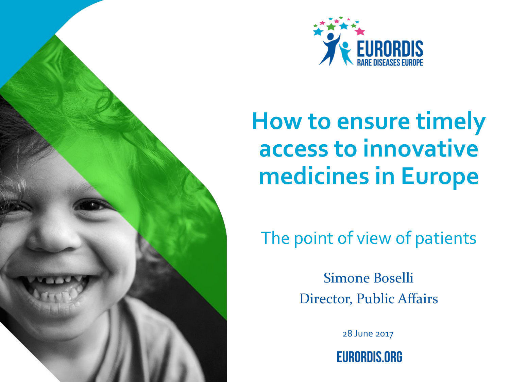

## **How to ensure timely access to innovative medicines in Europe**

The point of view of patients

Simone Boselli Director, Public Affairs

28 June 2017

**EURORDIS.ORG**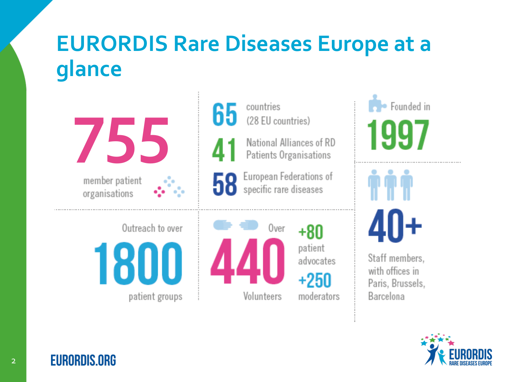## **EURORDIS Rare Diseases Europe at a** glance



65

countries (28 EU countries)

National Alliances of RD Patients Organisations

European Federations of specific rare diseases

Over +80 patient advocates +250 Volunteers moderators

Founded in 1997

Staff members, with offices in Paris, Brussels, Barcelona



**EURORDIS.ORG**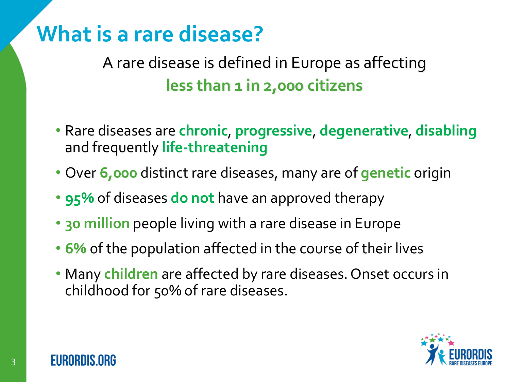### **What is a rare disease?**

A rare disease is defined in Europe as affecting **less than 1 in 2,000 citizens**

- Rare diseases are **chronic**, **progressive**, **degenerative**, **disabling** and frequently **life-threatening**
- Over **6,000** distinct rare diseases, many are of **genetic** origin
- **95%** of diseases **do not** have an approved therapy
- **30 million** people living with a rare disease in Europe
- **6%** of the population affected in the course of their lives
- Many **children** are affected by rare diseases. Onset occurs in childhood for 50% of rare diseases.

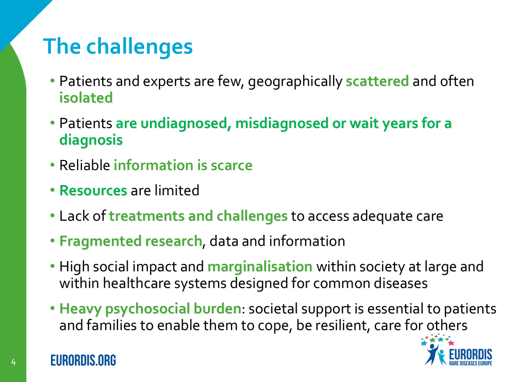### **The challenges**

- Patients and experts are few, geographically **scattered** and often **isolated**
- Patients **are undiagnosed, misdiagnosed or wait years for a diagnosis**
- Reliable **information is scarce**
- **Resources** are limited
- Lack of **treatments and challenges** to access adequate care
- **Fragmented research**, data and information
- High social impact and **marginalisation** within society at large and within healthcare systems designed for common diseases
- **Heavy psychosocial burden**: societal support is essential to patients and families to enable them to cope, be resilient, care for others



#### **EURORDIS ORG**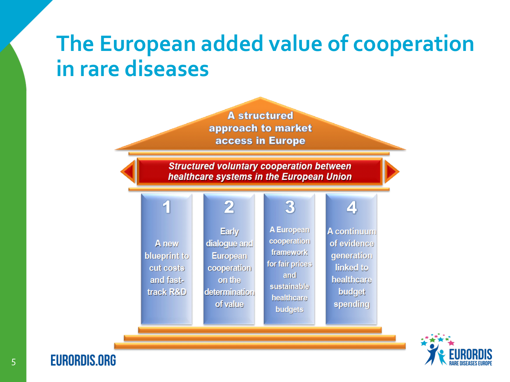### The European added value of cooperation in rare diseases

**A** structured approach to market access in Europe

**Structured voluntary cooperation between** healthcare systems in the European Union

prices

| A new<br>lueprint to<br>cut costs<br>and fast-<br>rack R&D | Early<br>dialogue and<br>European<br>cooperation<br>on the<br>determination<br>of value | <b>A European</b><br>cooperation<br>framework<br>for fair prices<br>and<br>sustainable<br>healthcare<br>budgets |
|------------------------------------------------------------|-----------------------------------------------------------------------------------------|-----------------------------------------------------------------------------------------------------------------|

**A** continuum of evidence generation linked to healthcare budget spending

ZI